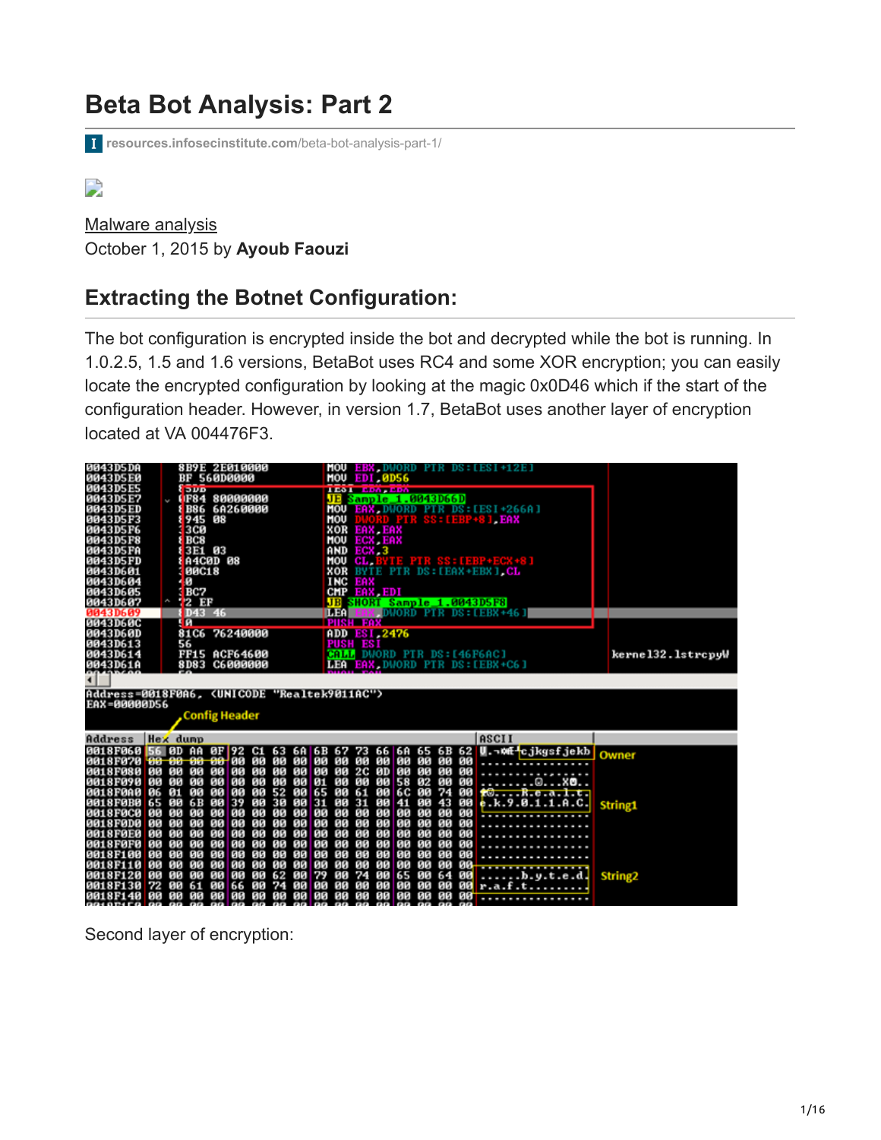# **Beta Bot Analysis: Part 2**

**[resources.infosecinstitute.com](http://resources.infosecinstitute.com/beta-bot-analysis-part-1/#gref)**/beta-bot-analysis-part-1/

 $\overline{\phantom{a}}$ 

[Malware analysis](https://resources.infosecinstitute.com/topics/malware-analysis/) October 1, 2015 by **Ayoub Faouzi**

# **Extracting the Botnet Configuration:**

The bot configuration is encrypted inside the bot and decrypted while the bot is running. In 1.0.2.5, 1.5 and 1.6 versions, BetaBot uses RC4 and some XOR encryption; you can easily locate the encrypted configuration by looking at the magic 0x0D46 which if the start of the configuration header. However, in version 1.7, BetaBot uses another layer of encryption located at VA 004476F3.

| 0043D5DA<br>0043D5E0<br>0043D5E5<br>0043D5E7<br>0043D5ED<br>0043D5F3<br>0043D5F6<br>0043D5F8<br>0043D5FA<br>0043D5FD<br>0043D601<br>0043D604<br>0043D605 |                | 8B9E 2E010000<br>BF<br><b>DUD</b><br><b>F84</b><br><b>B86</b><br>945<br><b>3CØ</b><br>BC <sub>8</sub><br><b>00C18</b><br>Й<br>BC7 | 560D0000<br>88<br>3E1 03<br><b>A4CØD 08</b> | 80000000<br>6A260000             |                                  |                                  |                                  |                                     | MOU<br>MOU<br>JE<br>MOU<br>MOU<br>XOR<br>MOU<br>AND<br>MOU<br>XOR<br><b>INC</b> | EAX, EAX<br><b>ECX EAX</b><br>ECX <sub>3</sub><br>CL.<br>EAX<br>CMP EAX, EDI | <b>EDI 0D56</b><br>uman    | <b>LESS EXPANSION</b><br>Sample_1.0043D66D |                                           |                                            |                            | EBX DWORD PIR DS:[ESI+12E]<br>EAX DWORD PTR DS: [ESI+266A]<br>$SS: LEBP+8$ ] $EAX$<br><b>THE PIR SS: [EBP+ECX+8]</b><br>BYTE PTR DS: [EAX+EBX] CL |                   |
|----------------------------------------------------------------------------------------------------------------------------------------------------------|----------------|-----------------------------------------------------------------------------------------------------------------------------------|---------------------------------------------|----------------------------------|----------------------------------|----------------------------------|----------------------------------|-------------------------------------|---------------------------------------------------------------------------------|------------------------------------------------------------------------------|----------------------------|--------------------------------------------|-------------------------------------------|--------------------------------------------|----------------------------|---------------------------------------------------------------------------------------------------------------------------------------------------|-------------------|
| 0043D607                                                                                                                                                 | ç              | <b>2 EF</b>                                                                                                                       |                                             |                                  |                                  |                                  |                                  |                                     |                                                                                 |                                                                              |                            |                                            |                                           |                                            |                            | JB SHORT Sample 1.0043D5F8                                                                                                                        |                   |
| 0043D609                                                                                                                                                 |                |                                                                                                                                   | D43 46                                      |                                  |                                  |                                  |                                  |                                     | <b>ILEA</b>                                                                     |                                                                              |                            |                                            |                                           |                                            |                            | DWORD PTR DS: [EBX+46]                                                                                                                            |                   |
| 0043D60C<br>0043D60D<br>0043D613<br>0043D614<br>0043D61A                                                                                                 |                | п<br>81C6 76240000<br>56<br><b>FF15 ACF64600</b><br>8D83 C6000000                                                                 |                                             |                                  |                                  |                                  |                                  |                                     |                                                                                 | <b>PUSH FAX</b><br><b>ADD EST.2476</b><br>PUSH ESI                           |                            |                                            |                                           |                                            |                            | <b>MALL DWORD PTR DS: [46F6AC]</b><br>LEA EAX DWORD PTR DS: [EBX+C6]                                                                              | kernel32.lstrcpyW |
| ◀                                                                                                                                                        |                |                                                                                                                                   |                                             |                                  |                                  |                                  |                                  |                                     |                                                                                 |                                                                              |                            |                                            |                                           |                                            |                            |                                                                                                                                                   |                   |
| Address=0018F0A6, <unicode "realtek9011ac"=""><br/>EAX=00000D56</unicode>                                                                                |                |                                                                                                                                   | <b>Config Header</b>                        |                                  |                                  |                                  |                                  |                                     |                                                                                 |                                                                              |                            |                                            |                                           |                                            |                            |                                                                                                                                                   |                   |
| Address                                                                                                                                                  |                | <b>Hex</b> dump                                                                                                                   |                                             |                                  |                                  |                                  |                                  |                                     |                                                                                 |                                                                              |                            |                                            |                                           |                                            |                            | ASCII                                                                                                                                             |                   |
| 0018F060 56 0D AA<br>0018F070 00 00 00 00 00<br><b>0018F080 00</b><br>0018F090 00                                                                        |                | 66<br>66<br>80<br>80                                                                                                              | 88<br>00                                    | ØF 92 C1 63<br>80<br>88          | 86<br>616<br>80                  | 00 00 00 00<br>90<br>80          | <b>00 00 00</b><br>80            | 01                                  | 00                                                                              | 2C 0D<br>00                                                                  | 88                         | 00 00 00 00 00<br>80 80<br>58              | 02                                        | 00<br>80                                   | 80<br>00<br>ØØ             | 6A 6B 67 73 66 6A 65 6B 62 U. - Mf cjkgsfjekb<br>.<br>. <b>. .</b> .                                                                              | Owner             |
| <b>0018F0A0</b><br>0018F0B0 65<br><b>0018F0C0</b><br>0018F0D0 00<br><b>0018F0E0</b>                                                                      | 06<br>90<br>80 | 91<br>613<br>80<br>80<br>99<br>80<br>66<br>80<br>88                                                                               | 00<br>6B 00<br>00<br>88<br>00               | 00<br>39<br>00<br>80<br>00       | 90<br>88<br>90<br>88<br>88       | 52<br>30<br>90<br>90<br>80       | 99<br>00 31<br>88<br>80<br>80    | 65<br>00<br>00<br>00                | 00<br>00<br>00<br>00<br>00                                                      | 61<br>31 00<br>80<br>00<br>88                                                | 90<br>88<br>80<br>80       |                                            | 6C 00<br>41 00<br>00 00<br>88 88<br>88 88 | 74<br>43<br>88<br>00<br>00                 | 00<br>88<br>00<br>80<br>00 | 108.01.t.<br>e. k. 9.8.1.1.0.C.<br><del>.</del><br>.                                                                                              | <b>String1</b>    |
| <b>0018F0F0 00</b><br>0018F100 00<br>0018F110 00<br><b>0018F120</b><br>0018F130 72<br>0018F140 00 00                                                     | 80             | 90<br>86<br>88<br>90<br>88<br>80<br>66<br>80<br>1313                                                                              | 00 00<br>00<br>øø<br>00<br>61 00<br>00      | 00<br>88<br>00<br>00<br>66<br>00 | 80<br>88<br>90<br>80<br>80<br>90 | 90<br>80<br>80<br>62<br>74<br>80 | 80<br>80<br>80<br>80<br>80<br>90 | 00<br>80<br>00<br>79<br>80<br>00 00 | 00<br>08<br>00<br>86<br>00                                                      | 00<br>88<br>00<br>74<br>80<br>1315                                           | 80<br>80<br>90<br>80<br>80 | 60<br>65<br>88 88<br>88 88 88              | 00 00<br>80 80<br>00<br>80                | 00<br><b>ØØ</b><br>00<br>64<br>ØØ.<br>1313 | 66<br>88<br>00<br>80<br>86 | $\dots b. y. t. e.d.$<br>$00$ r.a.f.t<br>                                                                                                         | String2           |

Second layer of encryption: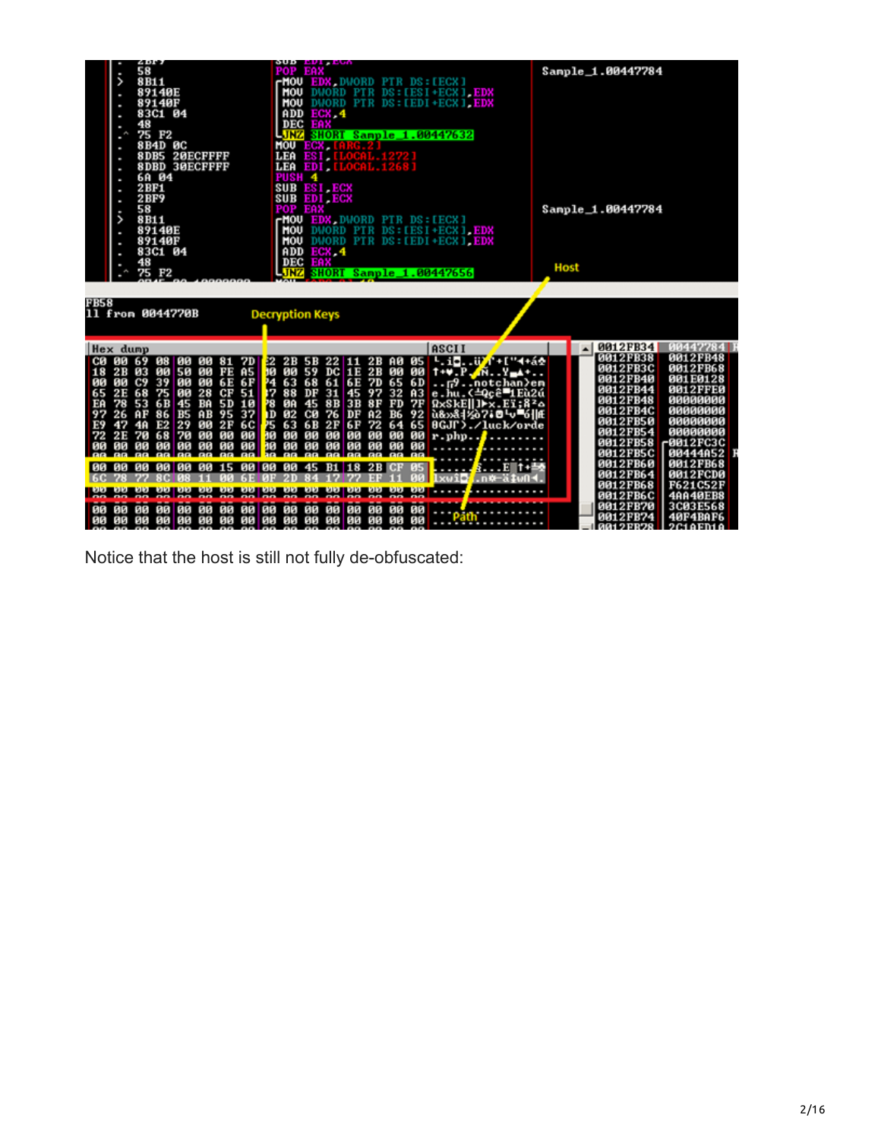|                                                                        | <b><i><u>CHAIN</u></i></b><br>58<br>ı<br>><br>8B11<br>89140E<br>٠<br>8914ØF<br>83C1 04<br>48<br>ı<br>75 F <sub>2</sub><br>ł<br>8B4D 0C<br>8DB5 20ECFFFF<br><b>8DBD 30ECFFFF</b><br>6A 04<br>ı<br>2BF1<br>2BF9<br>ı<br>58<br>$\ddot{\phantom{0}}$<br>8B11<br>89140E                                                                                                                                                                      | ovy <i>evi</i> eve<br><b>POP EAX</b><br><b>MOU EDX DWORD PIR DS:[ECX]</b><br>MOU<br>DUORD PTR DS: [ESI+ECX] EDX<br><b>MOU</b><br>DWORD PTR DS: [EDI+ECX] EDX<br>ADD<br>ECX, 4<br><b>DEC EAX</b><br>LJNZ<br><b>SHORT Sample 1.00447632</b><br>MOU ECX.<br>LEA ESI.<br>LEA EDI [LOCAL 1268]<br>PUSH <sub>4</sub><br>SUB ESI ECX<br><b>SUB EDI ECX</b><br>POP EAX<br><b>MOU EDX DWORD PIR DS:[ECX]</b><br>DWORD PTR DS: LESI+ECX1.EDX<br>MOU                                                                                                                                                     | Sample 1.00447784<br>Sample 1.00447784                                                                                                                                                                                                                                                                             |  |  |  |
|------------------------------------------------------------------------|-----------------------------------------------------------------------------------------------------------------------------------------------------------------------------------------------------------------------------------------------------------------------------------------------------------------------------------------------------------------------------------------------------------------------------------------|-----------------------------------------------------------------------------------------------------------------------------------------------------------------------------------------------------------------------------------------------------------------------------------------------------------------------------------------------------------------------------------------------------------------------------------------------------------------------------------------------------------------------------------------------------------------------------------------------|--------------------------------------------------------------------------------------------------------------------------------------------------------------------------------------------------------------------------------------------------------------------------------------------------------------------|--|--|--|
|                                                                        | 89140F<br>83C1 04<br>٠<br>48<br>75 F <sub>2</sub><br>$\bullet$                                                                                                                                                                                                                                                                                                                                                                          | MOU<br>DWORD PTR DS: [EDI+ECX] EDX<br>ADD<br>ECX <sub>4</sub><br>DEC<br>EAX<br><b>SHORT Sample 1.00447656</b><br>LINZ                                                                                                                                                                                                                                                                                                                                                                                                                                                                         | Host                                                                                                                                                                                                                                                                                                               |  |  |  |
| <b>FB58</b>                                                            | 11 from 0044770B                                                                                                                                                                                                                                                                                                                                                                                                                        | <b>Decryption Keys</b>                                                                                                                                                                                                                                                                                                                                                                                                                                                                                                                                                                        |                                                                                                                                                                                                                                                                                                                    |  |  |  |
|                                                                        | Hex dump                                                                                                                                                                                                                                                                                                                                                                                                                                | ASCII                                                                                                                                                                                                                                                                                                                                                                                                                                                                                                                                                                                         | 0012FB34 00447784 J                                                                                                                                                                                                                                                                                                |  |  |  |
| 18<br>00<br>65<br>EA<br>97<br>E <sub>9</sub><br>72<br>00<br><b>JAG</b> | C0 00 69 08 00 00 81 7D<br>28 03 00 50 00 FE AS<br>00 C9 39 00 00 6E 6F<br>2E 68 75 00 28 CF 51<br>90<br>53 6B 45 BA 5D<br>78<br>10<br>AF 86 B5 AB 95 37<br>26<br>E2 29 00 2F<br>47<br>4A<br>6C<br>2E<br>68 70<br>90<br>70<br>1313<br>90<br>80<br><b>00 00</b><br>80<br>00<br>08<br>90<br><b>BO</b><br><b>BB</b><br><b>BR</b><br><b>BB</b><br><b>BB</b><br><b>BB</b><br><b>BB</b><br>00 00 00 00 00 00 00 15 00 00 00 45 B1 18 2B CF 05 | 22 2B 5B 22 11 2B 60 05 $\frac{1}{2}$ 1. 1 $\frac{1}{2}$ 1. 1 $\frac{1}{2}$ 1. 1 $\frac{1}{2}$ 1. 1 $\frac{1}{2}$ 1. 1 $\frac{1}{2}$ 1. 1 $\frac{1}{2}$ 1. 1 $\frac{1}{2}$ 1. 194 $\frac{1}{2}$ 1. 194 $\frac{1}{2}$ 1. 194 $\frac{1}{2}$ 1. 194 $\frac{1}{2}$ 1. 194 $\frac{1}{2}$ 1. 195 6<br>25<br>63 6B<br>6F 72<br>2F<br>65<br>64<br>8GJL>./luck/orde<br>30<br>90<br>90<br>00<br>90<br>86<br>99<br>86<br>$r$ .php. $\cdot$ .<br>00 00<br>16<br>80<br>88<br>88 88<br>00<br><b>RG</b><br><b>BB BB</b><br><b>BB BB</b><br><b>RR</b><br><b>BB</b><br><b>PORT</b><br><br><mark>.</mark> E 1+当 | 0012FB48<br><b>0012FB38</b><br>0012FB3C<br>0012FB68<br>0012FB40<br>001E0128<br>0012FB44<br><b>0012FFE0</b><br>0012FB48<br>80000000<br>0012FB4C<br>00000000<br>0012FB50<br>00000000<br>0012FB54<br>80808008<br>0012FB58<br>r0012FC3C<br>0012FB5C<br>00444A52<br>0012FB60<br>0012FB68<br>0012FB64<br><b>0012FCD0</b> |  |  |  |
|                                                                        |                                                                                                                                                                                                                                                                                                                                                                                                                                         | lxuie <mark>:</mark><br>Ln#−ä‡u∩<br>                                                                                                                                                                                                                                                                                                                                                                                                                                                                                                                                                          | 0012FB68<br>F621C52F                                                                                                                                                                                                                                                                                               |  |  |  |
| 80                                                                     | 88 88<br>88 88<br>86<br>1313<br>ия<br>GП                                                                                                                                                                                                                                                                                                                                                                                                | 80<br>80<br>GЯ<br>яя<br><b>BB</b><br>88<br>88                                                                                                                                                                                                                                                                                                                                                                                                                                                                                                                                                 | 0012FB6C<br><b>4AA40EB8</b><br>0012FB70<br>3C03E568                                                                                                                                                                                                                                                                |  |  |  |
| 80                                                                     | 80<br>00<br><b>00 00</b><br><b>00 00 00</b><br>ØØ.                                                                                                                                                                                                                                                                                                                                                                                      | 80<br>80<br><b>00 00 00</b><br>88<br>80                                                                                                                                                                                                                                                                                                                                                                                                                                                                                                                                                       | 0012FB74<br><b>40F4BAF6</b>                                                                                                                                                                                                                                                                                        |  |  |  |

Notice that the host is still not fully de-obfuscated: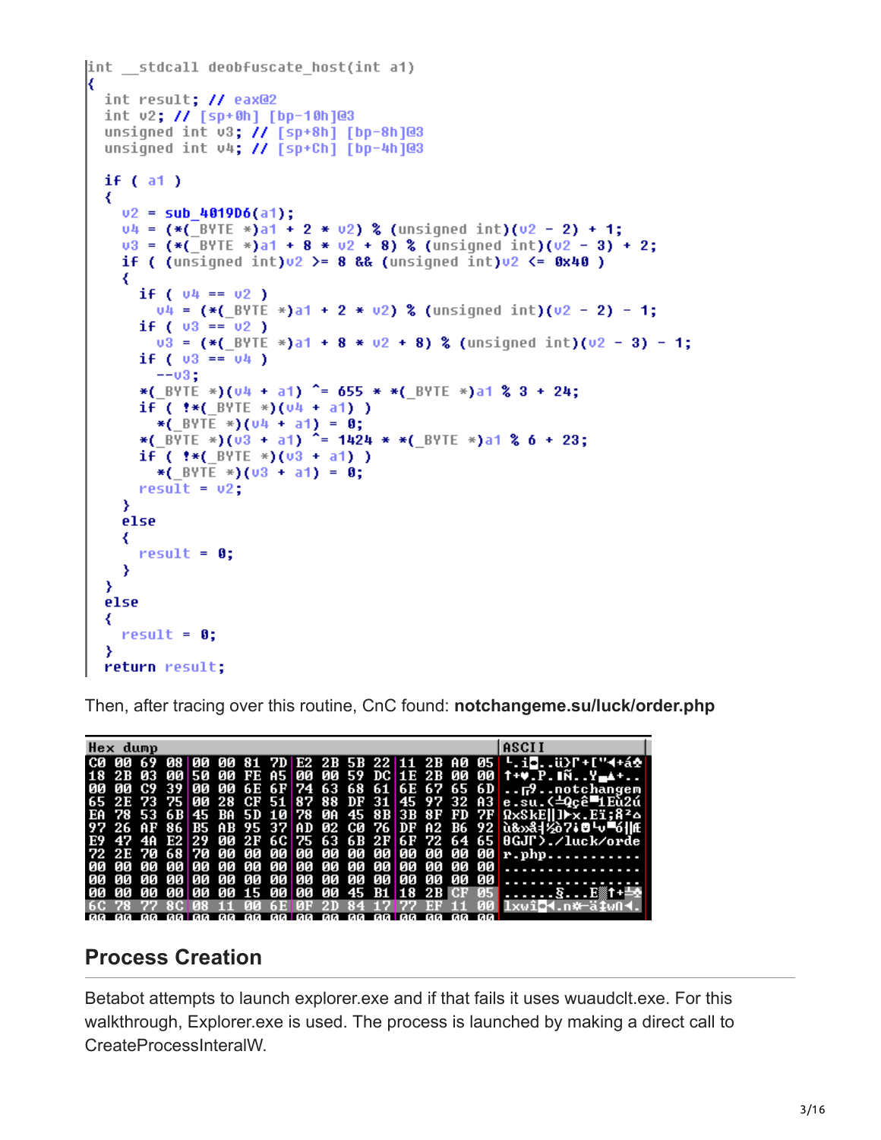```
int stdcall deobfuscate host(int a1)
  int result; // eax@2
  int v2; // [sp+0h] [bp-10h]@3
  unsigned int v3; // [sp+8h] [bp-8h]@3
  unsigned int v4; // [sp+Ch] [bp-4h]@3
  if (a1)₹
    v2 = sub_4019D6(a1);v4 = (*(-697) + 2 * v2) (unsigned int)(v2 - 2) + 1;
    v3 = (* (BYTE *)a1 + 8 * v2 + 8) % (unsigned int)(v2 - 3) + 2;
    if ( (unsigned int)\sqrt{2} >= 8 && (unsigned int)\sqrt{2} <= 0x40 )
    ₹
      if ( 04 == 02 )v4 = (* (BYTE * a1 + 2 * v2) % (unsigned int)(v2 - 2) - 1;
      if ( 03 == 02 )
        v3 = (* (BYTE *)a1 + 8 * v2 + 8) % (unsigned int)(v2 - 3) - 1;
      if ( v3 == v4 )
        --03;
      *( BYTE *)(u4 + a1) ^= 655 * *( BYTE *)a1 % 3 + 24;
      if (*(-BYTE*)(04 + a1))*(BYTE *)(U4 + a1) = 0;
      *(\frac{1}{2}BVTE *)(\frac{1}{3} + a1)<sup>2</sup> = 1424 * *(BVTE *)a1 % 6 + 23;
      if ( \frac{4}{5} ( \frac{8}{15} ( \frac{1}{2} + \frac{1}{2} ) (\frac{1}{2} + \frac{1}{2} )
        *( BYTE *)(03 + a1) = 0;
      result = v2;Y
    else
    ₹
      result = 0;Y
  Y
  else
  ₹
    result = 0;Y
  return result;
```
Then, after tracing over this routine, CnC found: **notchangeme.su/luck/order.php**

| Hex dump |  |  |  |  |  |                                        |      | ASCII                                                                                                     |
|----------|--|--|--|--|--|----------------------------------------|------|-----------------------------------------------------------------------------------------------------------|
|          |  |  |  |  |  |                                        |      | C0 00 69 08 00 00 81 7D E2 2B 5B 22 11 2B A0 05 $\frac{1}{2}$ in $\frac{1}{2}$                            |
|          |  |  |  |  |  |                                        |      | 18 2B 03 00 50 00 FE A5 00 00 59 DC 1E 2B 00 00 1+ .P. N. .Y 1.                                           |
|          |  |  |  |  |  |                                        |      | 00 00 C9 39 00 00 6E 6F 74 63 68 61 6E 67 65 6D $F$ 9notchangem                                           |
|          |  |  |  |  |  |                                        |      | 65 2E 73 75 00 28 CF 51 87 88 DF 31 45 97 32 A3 e.su.(=0cê=1Eù2ú                                          |
|          |  |  |  |  |  |                                        |      | ER 78 53 6B 45 BA 5D 10 78 0A 45 8B 3B 8F FD 7F $\Omega xSkE  \ln x.Ei; \Omega^2 \Omega$                  |
|          |  |  |  |  |  |                                        |      | 97 26 AF 86 B5 AB 95 37 AD 02 C0 76 DF A2 B6 92 $\hat{u}$ 8 $\hat{d}$ 8 $\hat{d}$ 7 = $\hat{d}$ $\hat{d}$ |
|          |  |  |  |  |  |                                        |      | E9 47 4A E2 29 00 2F 6C 75 63 6B 2F 6F 72 64 65 0GJI). Auck/orde                                          |
|          |  |  |  |  |  |                                        |      |                                                                                                           |
|          |  |  |  |  |  |                                        |      |                                                                                                           |
|          |  |  |  |  |  |                                        |      |                                                                                                           |
|          |  |  |  |  |  |                                        |      | 00 00 00 00 00 00 15 00 00 00 45 B1 18 2B CF 05 SE#t+                                                     |
|          |  |  |  |  |  |                                        |      | 11 00 6E 0F 2D 84 17 77 EF 11 00 1xw104.n*-ätwn4.                                                         |
|          |  |  |  |  |  | aa aa aalaa aa aa aalaa aa aa aalaa aa | - 66 |                                                                                                           |

## **Process Creation**

Betabot attempts to launch explorer.exe and if that fails it uses wuaudclt.exe. For this walkthrough, Explorer.exe is used. The process is launched by making a direct call to CreateProcessInteralW.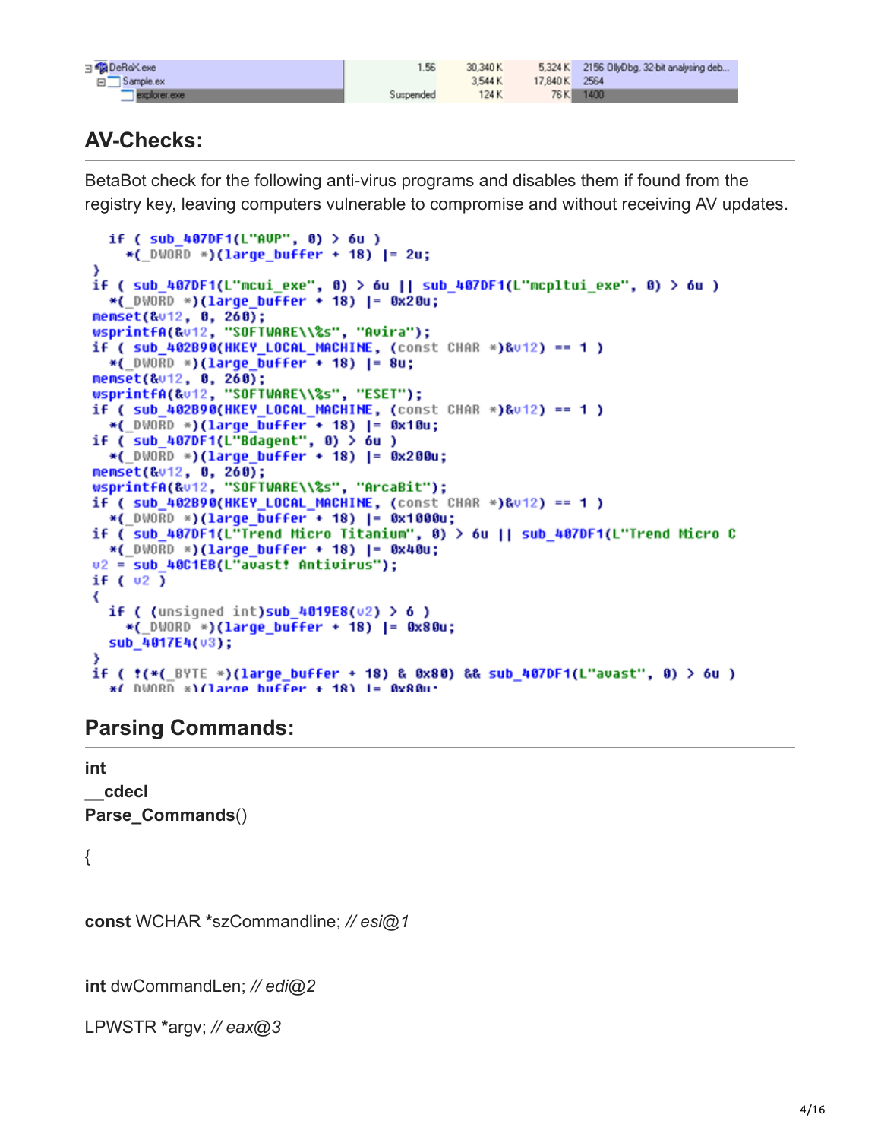| DeRoXexe                  | 1.56      | 30,340K |               | 5,324 K 2156 OllyDbg, 32-bit analysing deb |
|---------------------------|-----------|---------|---------------|--------------------------------------------|
| Sample.ex<br>- 日 <u>、</u> |           | 3,544 K | 17,840 K 2564 |                                            |
| explorer.exe              | Suspended | 124K    |               | 76 K 1400                                  |

# **AV-Checks:**

BetaBot check for the following anti-virus programs and disables them if found from the registry key, leaving computers vulnerable to compromise and without receiving AV updates.

```
if ( sub 407DF1(L"AUP", 0) > 6u )
    *( DWORD *)(large_buffer + 18) |= 2u;
3
if ( sub_407DF1(L"mcui_exe", 0) > 6u || sub_407DF1(L"mcpltui_exe", 0) > 6u )
  *( DWORD *)(large buffer + 18) |= 0x20u;
memset(&v12, 0, 260);
wsprintfA(&v12, "SOFTWARE\\%s", "Avira");
if ( sub_402B90(HKEY_LOCAL_MACHINE, (const CHAR *)&v12) == 1 )
  *(_DWORD *)(large_buffer + 18) |= 8u;
memset(&v12, 0, 260);
wsprintfA(&v12, "SOFTWARE\\%s", "ESET");
if (sub 402B90(HKEY LOCAL MACHINE, (const CHAR *)<math>8012</math>) == 1)*(_DWORD *)(large_buffer + 18) |= 0x10u;<br>if ( sub_407DF1(L"Bdagent", 0) > 6u )
  *(_DWORD *)(large_buffer + 18) |= 0x200u;
memset(&v12, 0, 260);
wsprintfA(&v12, "SOFTWARE\\%s", "ArcaBit");
if (sub_402B90(HKEY_LOCAL_MACHINE, (const CHAR * )&012) == 1)*(_DWORD *)(large_buffer + 18) |= 0x1000u;
if ( sub_407DF1(L"Trend Micro Titanium", 0) > 6u || sub_407DF1(L"Trend Micro C
  *( DWDBD * (1 \text{arge buffer} + 18) |= 0x40u;
v2 = sub 40C1EB(L"avast! Antivirus");
if (v2)
₹
  if ( (unsigned int)sub 4019E8(02) > 6)
    *( DWORD *)(large buffer + 18) |= 0x80u;
  sub_4017E4(v3);
if ( !( *( \frac{1}{2} \frac{1}{2} \frac{1}{2} \frac{1}{2} \frac{1}{2} \frac{1}{2} \frac{1}{2} \frac{1}{2} \frac{1}{2} \frac{1}{2} \frac{1}{2} \frac{1}{2} \frac{1}{2} \frac{1}{2} \frac{1}{2} \frac{1}{2} \frac{1}{2} \frac{1}{2} \frac{1}{2} \frac{1}{2} \frac{1}{2}*/ DUORD *\/large buffer + 18\ I= 8x88u*
```
## **Parsing Commands:**

**int \_\_cdecl Parse\_Commands**()

{

**const** WCHAR **\***szCommandline; *// esi@1*

**int** dwCommandLen; *// edi@2*

LPWSTR **\***argv; *// eax@3*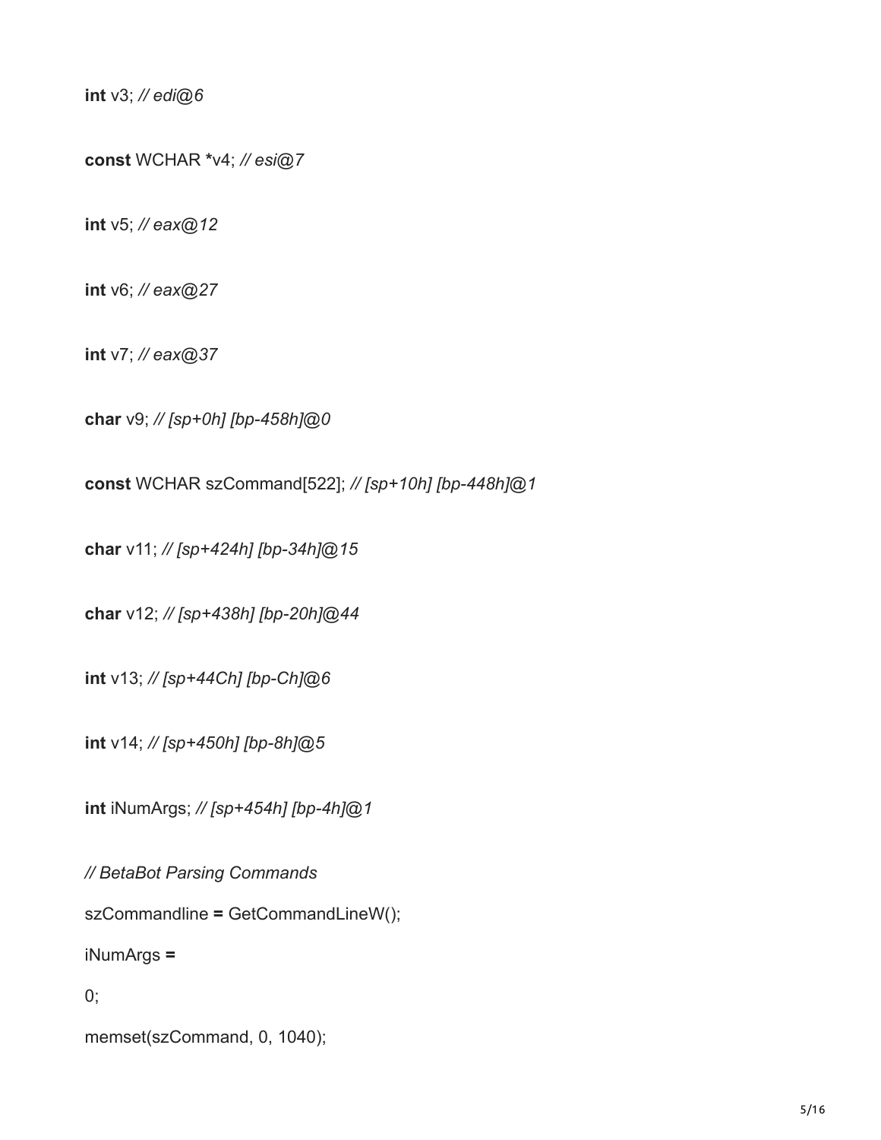**int** v3; *// edi@6*

**const** WCHAR **\***v4; *// esi@7*

**int** v5; *// eax@12*

**int** v6; *// eax@27*

**int** v7; *// eax@37*

**char** v9; *// [sp+0h] [bp-458h]@0*

**const** WCHAR szCommand[522]; *// [sp+10h] [bp-448h]@1*

**char** v11; *// [sp+424h] [bp-34h]@15*

**char** v12; *// [sp+438h] [bp-20h]@44*

**int** v13; *// [sp+44Ch] [bp-Ch]@6*

**int** v14; *// [sp+450h] [bp-8h]@5*

**int** iNumArgs; *// [sp+454h] [bp-4h]@1*

*// BetaBot Parsing Commands*

szCommandline **=** GetCommandLineW();

iNumArgs **=**

0;

memset(szCommand, 0, 1040);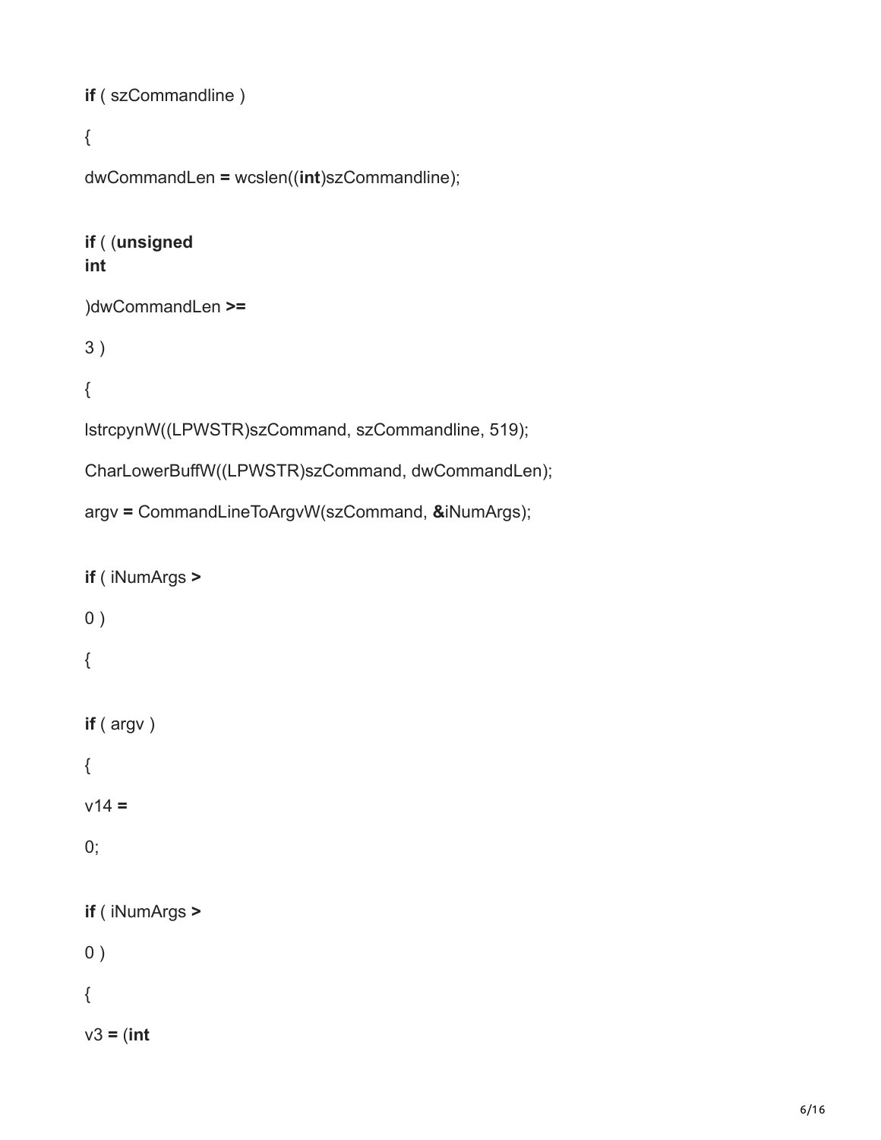```
if ( szCommandline )
```

```
{
```

```
dwCommandLen = wcslen((int)szCommandline);
```
#### **if** ( (**unsigned int**

#### )dwCommandLen **>=**

3 )

#### {

lstrcpynW((LPWSTR)szCommand, szCommandline, 519);

CharLowerBuffW((LPWSTR)szCommand, dwCommandLen);

```
argv = CommandLineToArgvW(szCommand, &iNumArgs);
```

```
if ( iNumArgs >
0){
if ( argv )
{
v14 =
0;if ( iNumArgs >
0 )
{
v3 = (int
```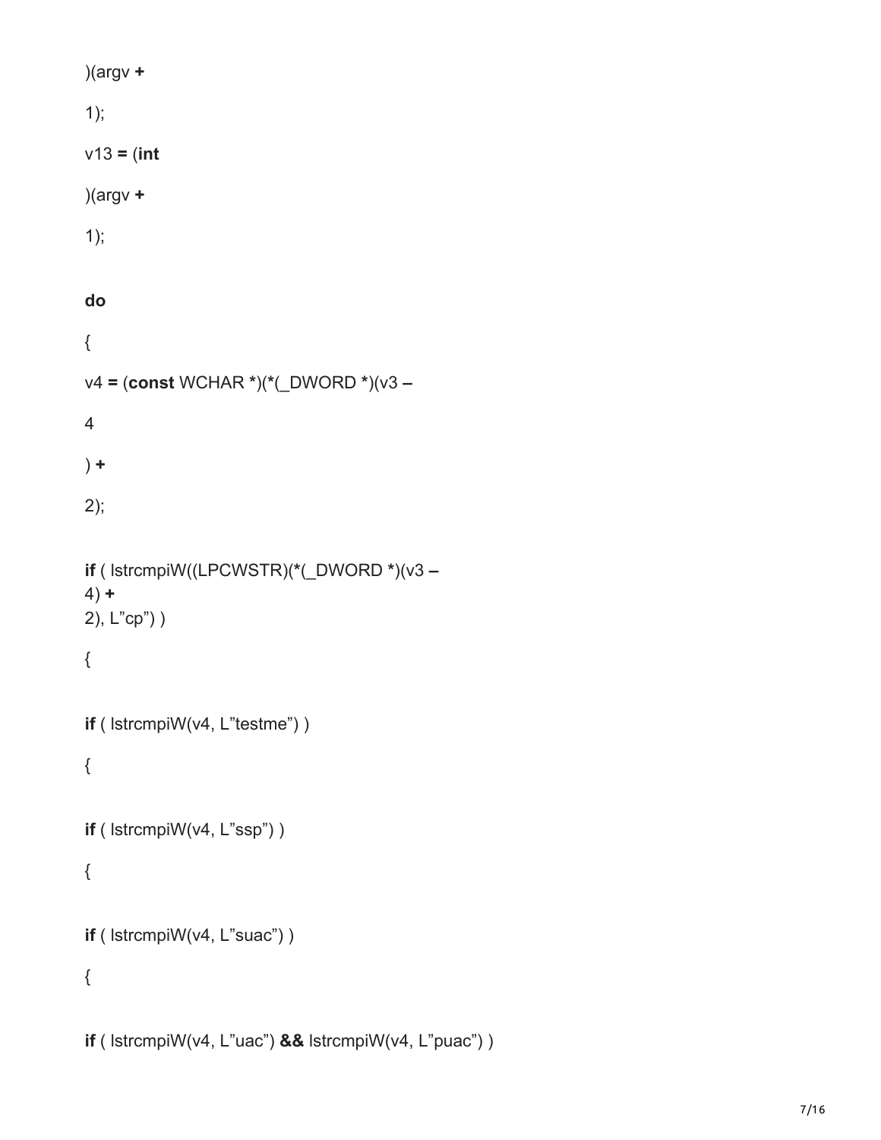| )(argv $+$                                |
|-------------------------------------------|
| 1);                                       |
| $v13 = (int$                              |
| $)(argv +$                                |
| 1);                                       |
|                                           |
| do                                        |
| {                                         |
| v4 = (const WCHAR *)(*(_DWORD *)(v3 -     |
| $\overline{4}$                            |
| $) +$                                     |
| 2);                                       |
|                                           |
| if ( lstrcmpiW((LPCWSTR)(*(_DWORD *)(v3 - |
| $4) +$                                    |
| 2), L"cp") )                              |
| {                                         |
|                                           |
| if ( lstrcmpiW(v4, L"testme") )           |
| {                                         |
| if ( lstrcmpiW(v4, L"ssp") )              |
|                                           |
| {                                         |
| if ( lstrcmpiW(v4, L"suac") )             |
| {                                         |
|                                           |
|                                           |

**if** ( lstrcmpiW(v4, L"uac") **&&** lstrcmpiW(v4, L"puac") )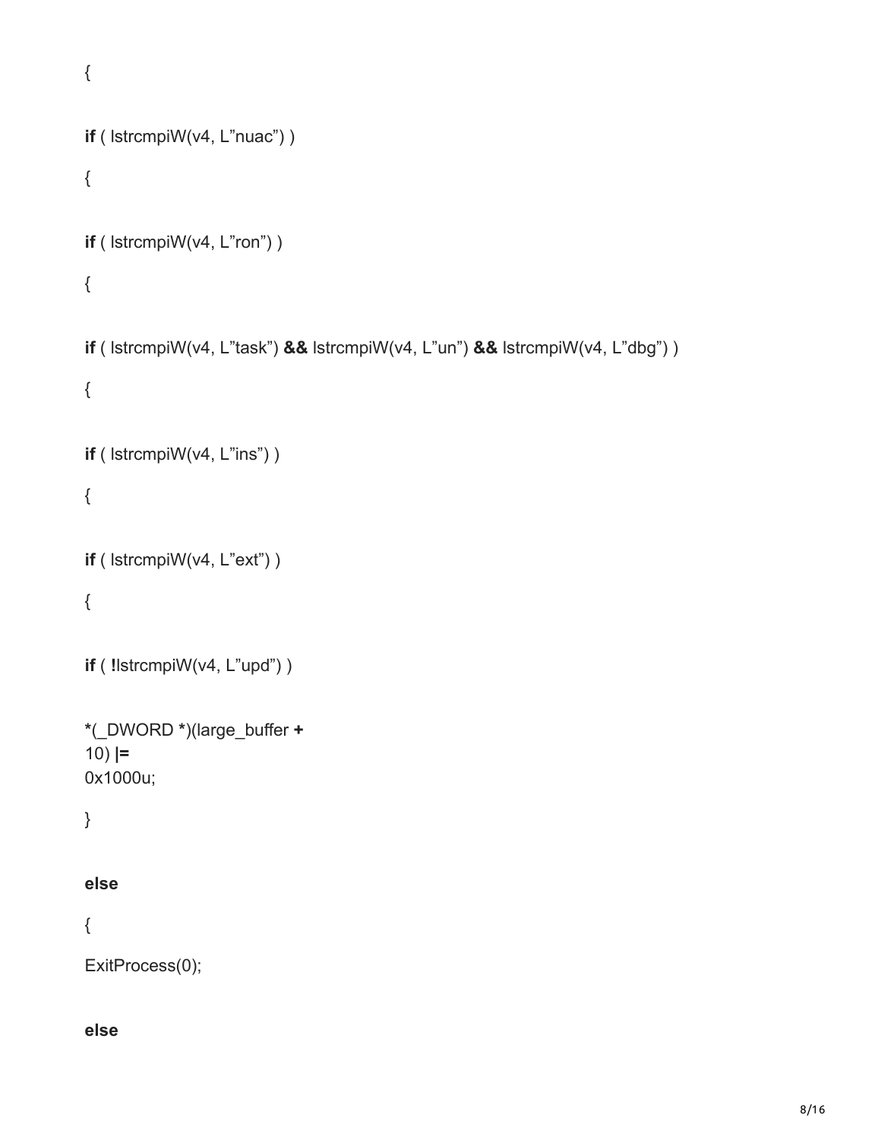```
{
if ( lstrcmpiW(v4, L"nuac") )
{
if ( lstrcmpiW(v4, L"ron") )
{
if ( lstrcmpiW(v4, L"task") && lstrcmpiW(v4, L"un") && lstrcmpiW(v4, L"dbg") )
{
if ( lstrcmpiW(v4, L"ins") )
{
if ( lstrcmpiW(v4, L"ext") )
{
if ( !lstrcmpiW(v4, L"upd") )
*(_DWORD *)(large_buffer +
10) |=
0x1000u;
}
else
{
ExitProcess(0);
```
#### **else**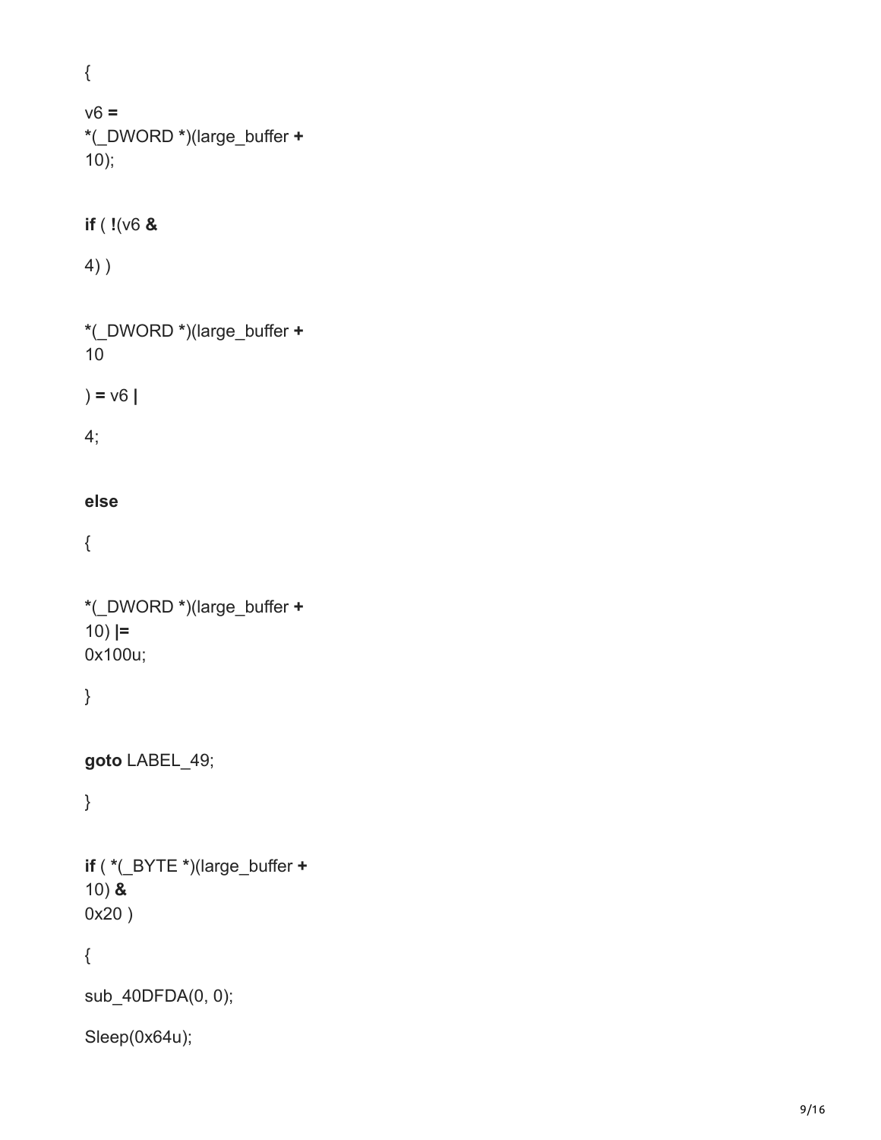{ v6 **= \***(\_DWORD **\***)(large\_buffer **+** 10); **if** ( **!**(v6 **&** 4) ) **\***(\_DWORD **\***)(large\_buffer **+** 10 ) **=** v6 **|** 4; **else** {

```
*(_DWORD 
*)(large_buffer 
+
10) |=
0x100u;
```
}

```
goto LABEL_49;
```
}

**if** ( **\***(\_BYTE **\***)(large\_buffer **+** 10) **&** 0x20 )

{

sub\_40DFDA( 0, 0);

Sleep(0x64u);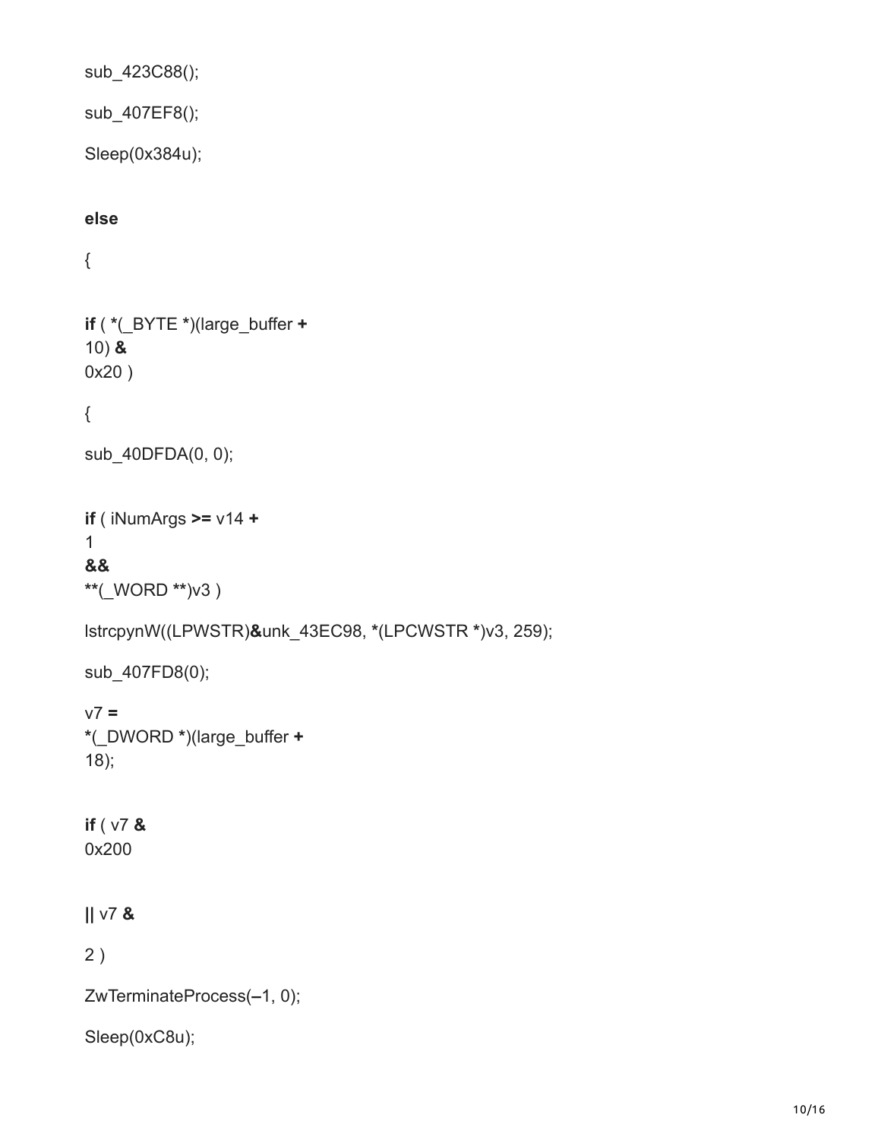sub\_423C88();

sub\_407EF8();

Sleep(0x384u);

#### **else**

{

**if** ( **\***(\_BYTE **\***)(large\_buffer **+** 10) **&** 0x20 )

#### {

```
sub_40DFDA(0, 0);
```
**if** ( iNumArgs **>=** v14 **+** 1 **&&**

**\*\***(\_WORD **\*\***)v3 )

lstrcpynW((LPWSTR)**&**unk\_43EC98, **\***(LPCWSTR **\***)v3, 259);

```
sub_407FD8(0);
```

```
v7 =
*(_DWORD *)(large_buffer +
18);
```
# **if** ( v7 **&**

0x200

#### **||** v7 **&**

2 )

ZwTerminateProcess(**–**1, 0);

Sleep(0xC8u);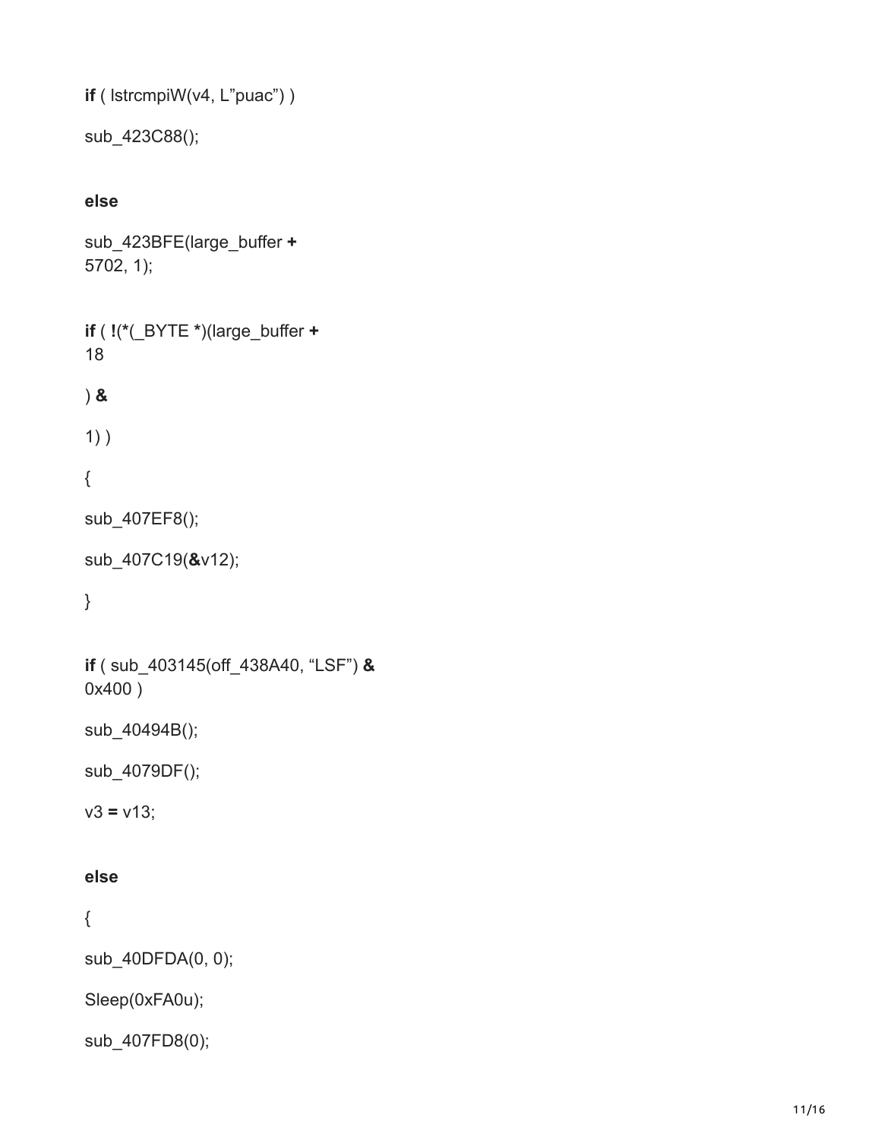```
if ( lstrcmpiW(v4, L"puac") )
```

```
sub_423C88();
```
#### **else**

sub\_423BFE(large\_buffer **+** 5702, 1);

```
if ( !(*(_BYTE *)(large_buffer +
18
) &
```

```
1) )
```

```
{
```

```
sub_407EF8();
```

```
sub_407C19(&v12);
```
#### }

```
if ( sub_403145(off_438A40, "LSF") &
0x400 )
```
sub\_40494B();

sub\_4079DF();

 $v3 = v13;$ 

#### **else**

{

sub\_40DFDA(0, 0);

Sleep(0xFA0u);

```
sub_407FD8(0);
```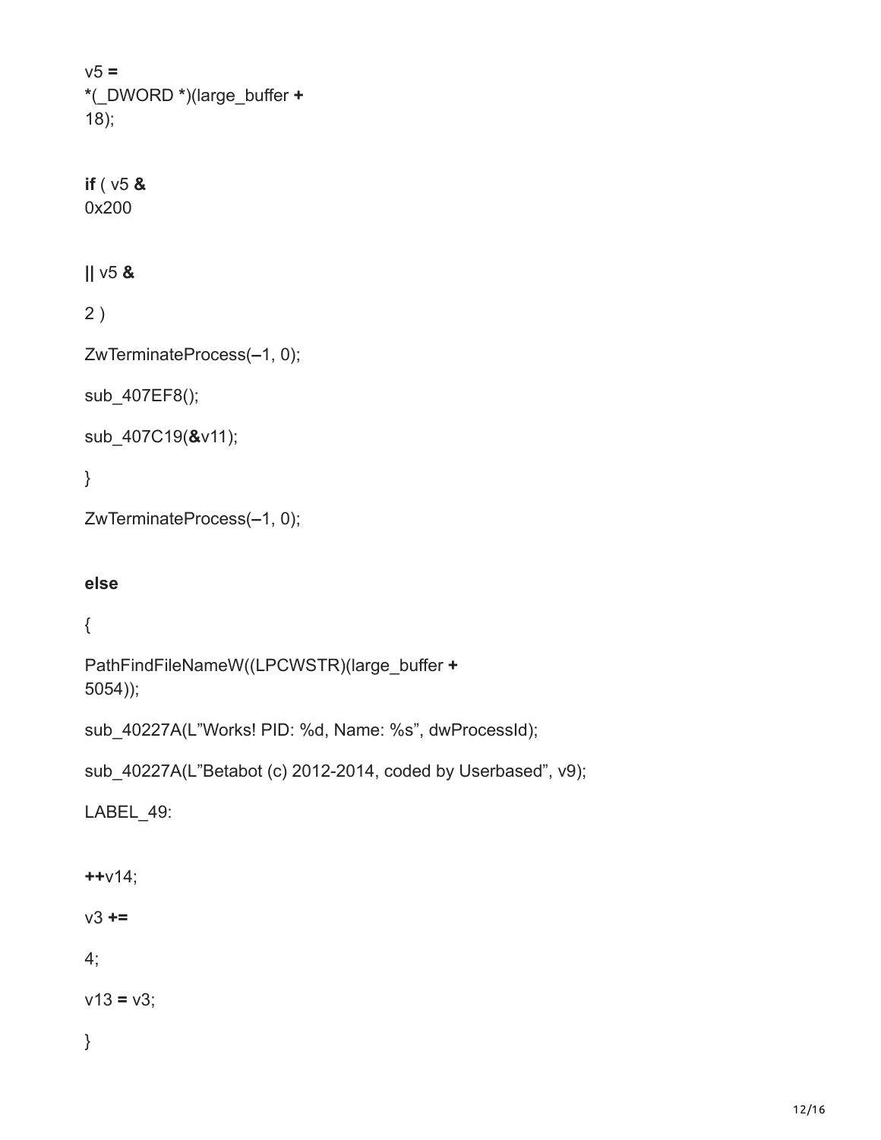v5 **= \***(\_DWORD **\***)(large\_buffer **+** 18);

**if** ( v5 **&** 0x200

**||** v5 **&**

2 )

ZwTerminateProcess(**–**1, 0);

sub\_407EF8();

sub\_407C19(**&**v11);

}

ZwTerminateProcess(**–**1, 0);

#### **else**

{

PathFindFileNameW((LPCWSTR)(large\_buffer **+** 5054));

sub\_40227A(L"Works! PID: %d, Name: %s", dwProcessId);

sub 40227A(L"Betabot (c) 2012-2014, coded by Userbased", v9);

LABEL 49:

**++**v14;

v3 **+=**

4;

 $v13 = v3$ ;

}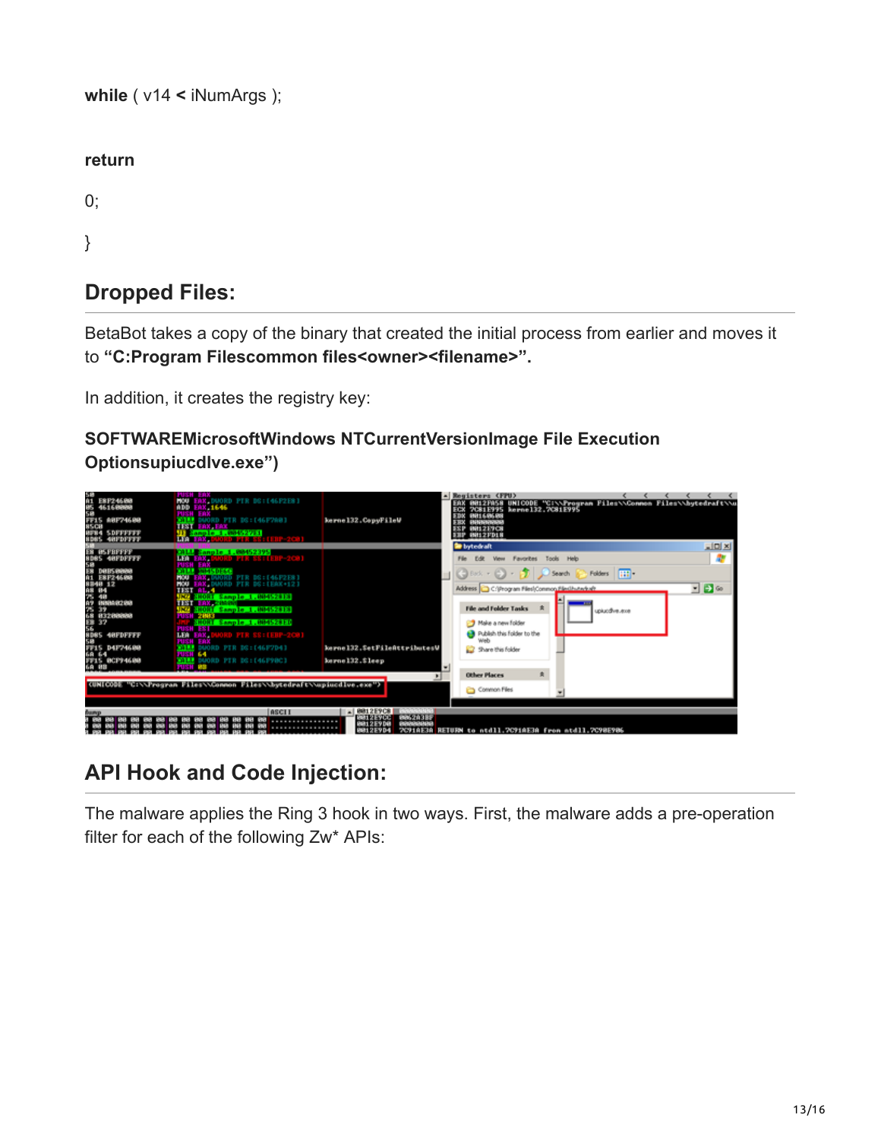**while** ( v14 **<** iNumArgs );

**return**

 $0;$ 

}

# **Dropped Files:**

BetaBot takes a copy of the binary that created the initial process from earlier and moves it to "C:Program Filescommon files<owner><filename>".

In addition, it creates the registry key:

### **SOFTWAREMicrosoftWindows NTCurrentVersionImage File Execution Optionsupiucdlve.exe")**



# **API Hook and Code Injection:**

The malware applies the Ring 3 hook in two ways. First, the malware adds a pre-operation filter for each of the following Zw\* APIs: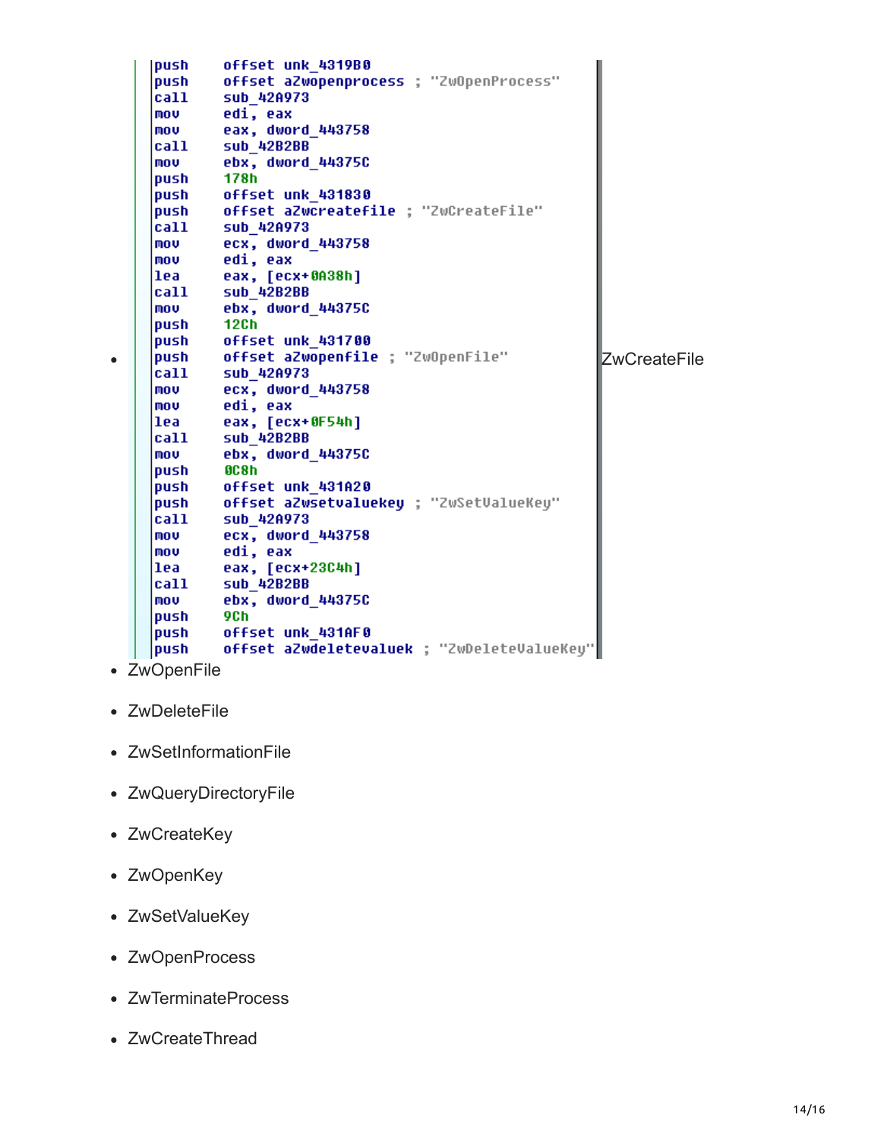**push** offset unk 4319B0 push offset aZwopenprocess ; "ZwOpenProcess" call sub 42A973 **MOV** edi, eax **MOV** eax, dword\_443758 sub\_42B2BB |call ebx, dword 44375C mov |push| 178h offset unk 431830 push push offset aZwcreatefile ; "ZwCreateFile" call sub 42A973 **MOV** ecx, dword\_443758 mov edi, eax lea eax, [ecx+0A38h] **call** sub\_42B2BB mov ebx, dword\_44375C push 12Ch offset unk 431700 push push offset aZwopenfile ; "ZwOpenFile" **ZwCreateFile** call sub\_42A973 mov ecx, dword 443758 edi, eax mov lea eax, [ecx+0F54h] sub\_42B2BB  $|cal1$ ebx, dword 44375C mov push 8C8h push offset unk 431A20 push offset aZwsetvaluekey ; "ZwSetValueKey"  $|call$ sub\_42A973 ecx, dword 443758 mov mov edi, eax lea i eax, [ecx+23C4h] **call** sub 42B2BB mov ebx, dword\_44375C push **9Ch** push offset unk 431AF0 push offset aZwdeletevaluek ; "ZwDeleteValueKey"

ZwOpenFile

 $\bullet$ 

- ZwDeleteFile
- ZwSetInformationFile
- ZwQueryDirectoryFile
- ZwCreateKey
- ZwOpenKey
- ZwSetValueKey
- ZwOpenProcess
- ZwTerminateProcess
- ZwCreateThread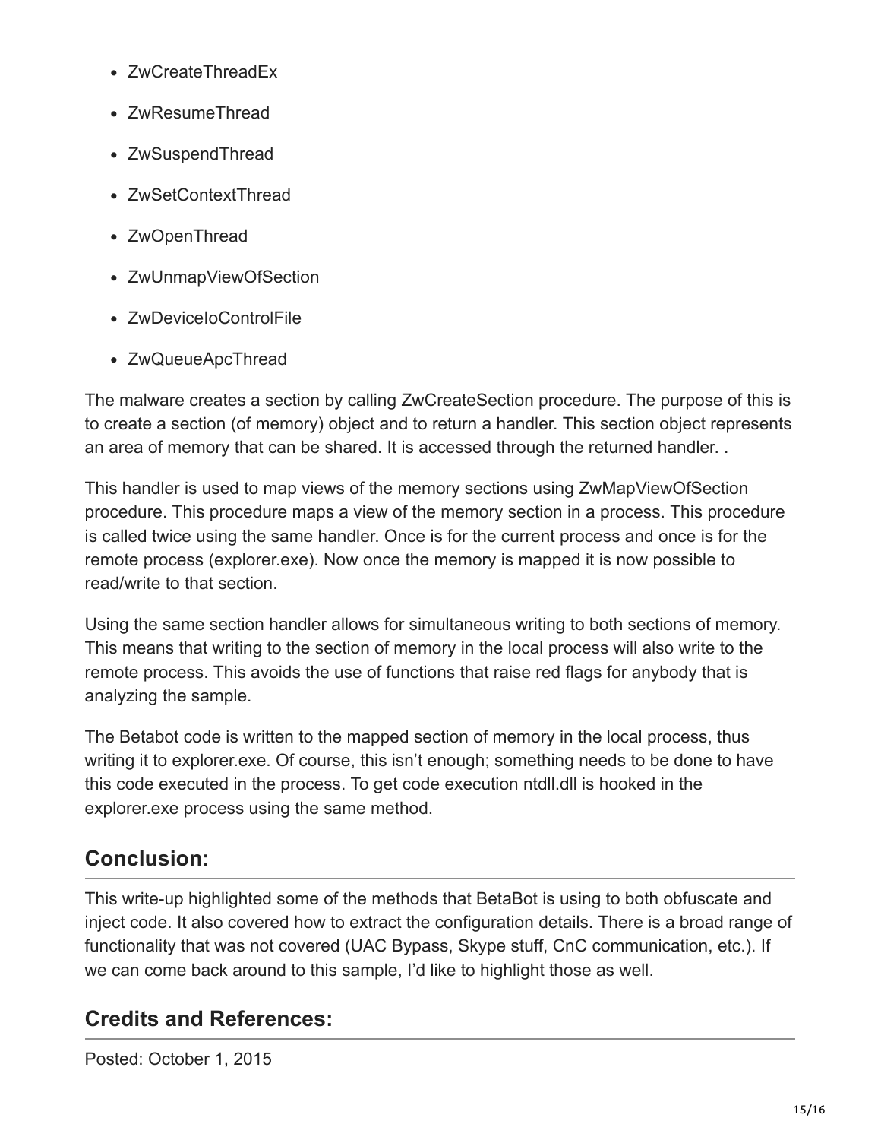- ZwCreateThreadEx
- ZwResumeThread
- ZwSuspendThread
- ZwSetContextThread
- ZwOpenThread
- ZwUnmapViewOfSection
- ZwDeviceIoControlFile
- ZwQueueApcThread

The malware creates a section by calling ZwCreateSection procedure. The purpose of this is to create a section (of memory) object and to return a handler. This section object represents an area of memory that can be shared. It is accessed through the returned handler. .

This handler is used to map views of the memory sections using ZwMapViewOfSection procedure. This procedure maps a view of the memory section in a process. This procedure is called twice using the same handler. Once is for the current process and once is for the remote process (explorer.exe). Now once the memory is mapped it is now possible to read/write to that section.

Using the same section handler allows for simultaneous writing to both sections of memory. This means that writing to the section of memory in the local process will also write to the remote process. This avoids the use of functions that raise red flags for anybody that is analyzing the sample.

The Betabot code is written to the mapped section of memory in the local process, thus writing it to explorer.exe. Of course, this isn't enough; something needs to be done to have this code executed in the process. To get code execution ntdll.dll is hooked in the explorer.exe process using the same method.

# **Conclusion:**

This write-up highlighted some of the methods that BetaBot is using to both obfuscate and inject code. It also covered how to extract the configuration details. There is a broad range of functionality that was not covered (UAC Bypass, Skype stuff, CnC communication, etc.). If we can come back around to this sample, I'd like to highlight those as well.

# **Credits and References:**